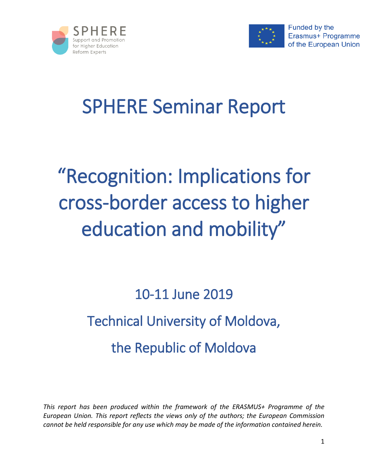



# SPHERE Seminar Report

# "Recognition: Implications for cross-border access to higher education and mobility"

# 10-11 June 2019 Technical University of Moldova, the Republic of Moldova

*This report has been produced within the framework of the ERASMUS+ Programme of the European Union. This report reflects the views only of the authors; the European Commission cannot be held responsible for any use which may be made of the information contained herein.*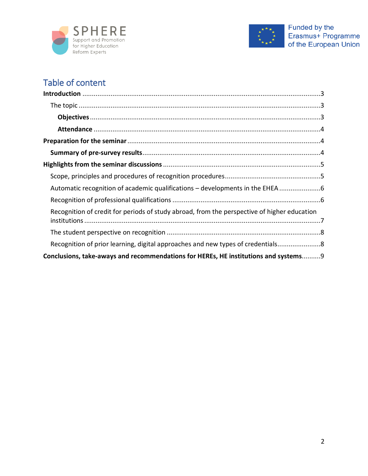



# Table of content

| Recognition of credit for periods of study abroad, from the perspective of higher education |  |
|---------------------------------------------------------------------------------------------|--|
|                                                                                             |  |
| Recognition of prior learning, digital approaches and new types of credentials8             |  |
| Conclusions, take-aways and recommendations for HEREs, HE institutions and systems9         |  |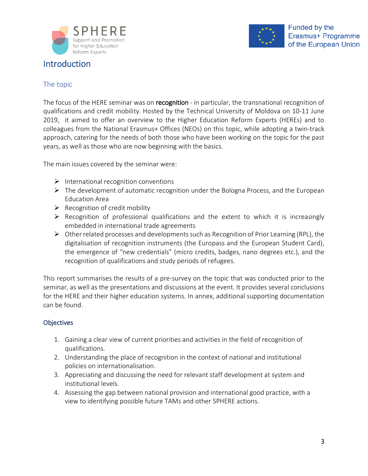

# <span id="page-2-0"></span>Introduction



## <span id="page-2-1"></span>The topic

The focus of the HERE seminar was on recognition - in particular, the transnational recognition of qualifications and credit mobility. Hosted by the Technical University of Moldova on 10-11 June 2019, it aimed to offer an overview to the Higher Education Reform Experts (HEREs) and to colleagues from the National Erasmus+ Offices (NEOs) on this topic, while adopting a twin-track approach, catering for the needs of both those who have been working on the topic for the past years, as well as those who are now beginning with the basics.

The main issues covered by the seminar were:

- $\triangleright$  International recognition conventions
- $\triangleright$  The development of automatic recognition under the Bologna Process, and the European Education Area
- $\triangleright$  Recognition of credit mobility
- $\triangleright$  Recognition of professional qualifications and the extent to which it is increasingly embedded in international trade agreements
- $\triangleright$  Other related processes and developments such as Recognition of Prior Learning (RPL), the digitalisation of recognition instruments (the Europass and the European Student Card), the emergence of "new credentials" (micro credits, badges, nano degrees etc.), and the recognition of qualifications and study periods of refugees.

This report summarises the results of a pre-survey on the topic that was conducted prior to the seminar, as well as the presentations and discussions at the event. It provides several conclusions for the HERE and their higher education systems. In annex, additional supporting documentation can be found.

### <span id="page-2-2"></span>**Objectives**

- 1. Gaining a clear view of current priorities and activities in the field of recognition of qualifications.
- 2. Understanding the place of recognition in the context of national and institutional policies on internationalisation.
- 3. Appreciating and discussing the need for relevant staff development at system and institutional levels.
- 4. Assessing the gap between national provision and international good practice, with a view to identifying possible future TAMs and other SPHERE actions.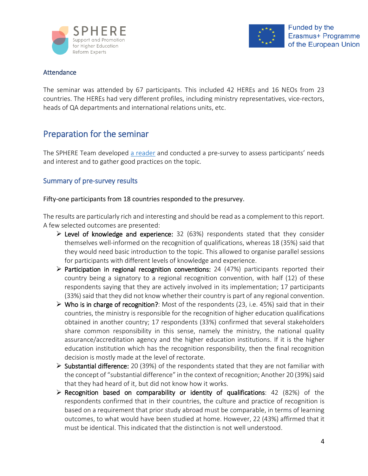



#### <span id="page-3-0"></span>**Attendance**

The seminar was attended by 67 participants. This included 42 HEREs and 16 NEOs from 23 countries. The HEREs had very different profiles, including ministry representatives, vice-rectors, heads of QA departments and international relations units, etc.

## <span id="page-3-1"></span>Preparation for the seminar

The SPHERE Team developed a [reader](https://supporthere.org/moldova2019/page/background-reader) and conducted a pre-survey to assess participants' needs and interest and to gather good practices on the topic.

#### <span id="page-3-2"></span>Summary of pre-survey results

#### Fifty-one participants from 18 countries responded to the presurvey.

The results are particularly rich and interesting and should be read as a complement to this report. A few selected outcomes are presented:

- $\triangleright$  Level of knowledge and experience: 32 (63%) respondents stated that they consider themselves well-informed on the recognition of qualifications, whereas 18 (35%) said that they would need basic introduction to the topic. This allowed to organise parallel sessions for participants with different levels of knowledge and experience.
- $\triangleright$  Participation in regional recognition conventions: 24 (47%) participants reported their country being a signatory to a regional recognition convention, with half (12) of these respondents saying that they are actively involved in its implementation; 17 participants (33%) said that they did not know whether their country is part of any regional convention.
- $\triangleright$  Who is in charge of recognition?: Most of the respondents (23, i.e. 45%) said that in their countries, the ministry is responsible for the recognition of higher education qualifications obtained in another country; 17 respondents (33%) confirmed that several stakeholders share common responsibility in this sense, namely the ministry, the national quality assurance/accreditation agency and the higher education institutions. If it is the higher education institution which has the recognition responsibility, then the final recognition decision is mostly made at the level of rectorate.
- $\triangleright$  Substantial difference: 20 (39%) of the respondents stated that they are not familiar with the concept of "substantial difference" in the context of recognition; Another 20 (39%) said that they had heard of it, but did not know how it works.
- $\triangleright$  Recognition based on comparability or identity of qualifications: 42 (82%) of the respondents confirmed that in their countries, the culture and practice of recognition is based on a requirement that prior study abroad must be comparable, in terms of learning outcomes, to what would have been studied at home. However, 22 (43%) affirmed that it must be identical. This indicated that the distinction is not well understood.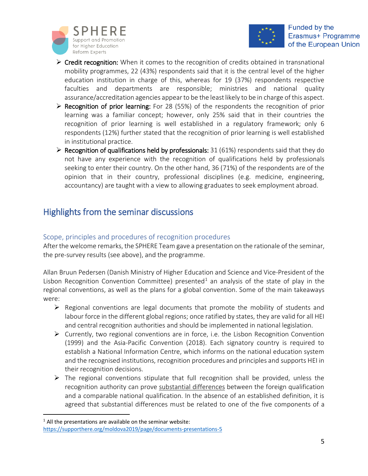



- $\triangleright$  Credit recognition: When it comes to the recognition of credits obtained in transnational mobility programmes, 22 (43%) respondents said that it is the central level of the higher education institution in charge of this, whereas for 19 (37%) respondents respective faculties and departments are responsible; ministries and national quality assurance/accreditation agencies appear to be the least likely to be in charge of this aspect.
- $\triangleright$  Recognition of prior learning: For 28 (55%) of the respondents the recognition of prior learning was a familiar concept; however, only 25% said that in their countries the recognition of prior learning is well established in a regulatory framework; only 6 respondents (12%) further stated that the recognition of prior learning is well established in institutional practice.
- $\triangleright$  Recognition of qualifications held by professionals: 31 (61%) respondents said that they do not have any experience with the recognition of qualifications held by professionals seeking to enter their country. On the other hand, 36 (71%) of the respondents are of the opinion that in their country, professional disciplines (e.g. medicine, engineering, accountancy) are taught with a view to allowing graduates to seek employment abroad.

# <span id="page-4-0"></span>Highlights from the seminar discussions

## <span id="page-4-1"></span>Scope, principles and procedures of recognition procedures

After the welcome remarks, the SPHERE Team gave a presentation on the rationale of the seminar, the pre-survey results (see above), and the programme.

Allan Bruun Pedersen (Danish Ministry of Higher Education and Science and Vice-President of the Lisbon Recognition Convention Committee) presented<sup>[1](#page-4-2)</sup> an analysis of the state of play in the regional conventions, as well as the plans for a global convention. Some of the main takeaways were:

- $\triangleright$  Regional conventions are legal documents that promote the mobility of students and labour force in the different global regions; once ratified by states, they are valid for all HEI and central recognition authorities and should be implemented in national legislation.
- $\triangleright$  Currently, two regional conventions are in force, i.e. the Lisbon Recognition Convention (1999) and the Asia-Pacific Convention (2018). Each signatory country is required to establish a National Information Centre, which informs on the national education system and the recognised institutions, recognition procedures and principles and supports HEI in their recognition decisions.
- $\triangleright$  The regional conventions stipulate that full recognition shall be provided, unless the recognition authority can prove substantial differences between the foreign qualification and a comparable national qualification. In the absence of an established definition, it is agreed that substantial differences must be related to one of the five components of a

<span id="page-4-2"></span> $1$  All the presentations are available on the seminar website: <https://supporthere.org/moldova2019/page/documents-presentations-5>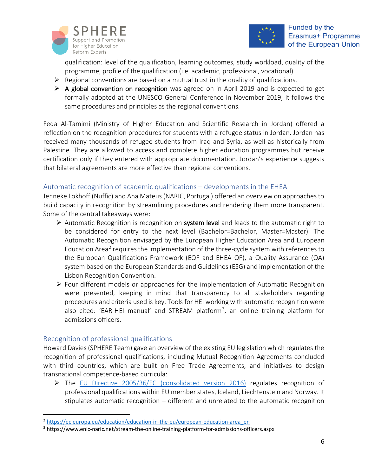



qualification: level of the qualification, learning outcomes, study workload, quality of the programme, profile of the qualification (i.e. academic, professional, vocational)

- $\triangleright$  Regional conventions are based on a mutual trust in the quality of qualifications.
- $\triangleright$  A global convention on recognition was agreed on in April 2019 and is expected to get formally adopted at the UNESCO General Conference in November 2019; it follows the same procedures and principles as the regional conventions.

Feda Al-Tamimi (Ministry of Higher Education and Scientific Research in Jordan) offered a reflection on the recognition procedures for students with a refugee status in Jordan. Jordan has received many thousands of refugee students from Iraq and Syria, as well as historically from Palestine. They are allowed to access and complete higher education programmes but receive certification only if they entered with appropriate documentation. Jordan's experience suggests that bilateral agreements are more effective than regional conventions.

#### <span id="page-5-0"></span>Automatic recognition of academic qualifications – developments in the EHEA

Jenneke Lokhoff (Nuffic) and Ana Mateus (NARIC, Portugal) offered an overview on approaches to build capacity in recognition by streamlining procedures and rendering them more transparent. Some of the central takeaways were:

- $\triangleright$  Automatic Recognition is recognition on system level and leads to the automatic right to be considered for entry to the next level (Bachelor=Bachelor, Master=Master). The Automatic Recognition envisaged by the European Higher Education Area and European Education Area<sup>[2](#page-5-2)</sup> requires the implementation of the three-cycle system with references to the European Qualifications Framework (EQF and EHEA QF), a Quality Assurance (QA) system based on the European Standards and Guidelines (ESG) and implementation of the Lisbon Recognition Convention.
- $\triangleright$  Four different models or approaches for the implementation of Automatic Recognition were presented, keeping in mind that transparency to all stakeholders regarding procedures and criteria used is key. Tools for HEI working with automatic recognition were also cited: 'EAR-HEI manual' and STREAM platform<sup>3</sup>, an online training platform for admissions officers.

#### <span id="page-5-1"></span>Recognition of professional qualifications

Howard Davies (SPHERE Team) gave an overview of the existing EU legislation which regulates the recognition of professional qualifications, including Mutual Recognition Agreements concluded with third countries, which are built on Free Trade Agreements, and initiatives to design transnational competence-based curricula:

 The [EU Directive 2005/36/EC \(consolidated version 2016\)](http://ec.europa.eu/growth/single-market/services/free-movement-professionals/policy/legislation_en) regulates recognition of professional qualifications within EU member states, Iceland, Liechtenstein and Norway. It stipulates automatic recognition – different and unrelated to the automatic recognition

<span id="page-5-2"></span> <sup>2</sup> [https://ec.europa.eu/education/education-in-the-eu/european-education-area\\_en](https://ec.europa.eu/education/education-in-the-eu/european-education-area_en)

<span id="page-5-3"></span><sup>3</sup> https://www.enic-naric.net/stream-the-online-training-platform-for-admissions-officers.aspx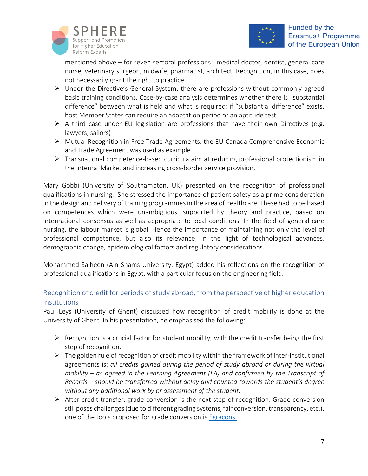

mentioned above – for seven sectoral professions: medical doctor, dentist, general care nurse, veterinary surgeon, midwife, pharmacist, architect. Recognition, in this case, does not necessarily grant the right to practice.

- Under the Directive's General System, there are professions without commonly agreed basic training conditions. Case-by-case analysis determines whether there is "substantial difference" between what is held and what is required; if "substantial difference" exists, host Member States can require an adaptation period or an aptitude test.
- $\triangleright$  A third case under EU legislation are professions that have their own Directives (e.g. lawyers, sailors)
- Mutual Recognition in Free Trade Agreements: the EU-Canada Comprehensive Economic and Trade Agreement was used as example
- Transnational competence-based curricula aim at reducing professional protectionism in the Internal Market and increasing cross-border service provision.

Mary Gobbi (University of Southampton, UK) presented on the recognition of professional qualifications in nursing. She stressed the importance of patient safety as a prime consideration in the design and delivery of training programmes in the area of healthcare. These had to be based on competences which were unambiguous, supported by theory and practice, based on international consensus as well as appropriate to local conditions. In the field of general care nursing, the labour market is global. Hence the importance of maintaining not only the level of professional competence, but also its relevance, in the light of technological advances, demographic change, epidemiological factors and regulatory considerations.

Mohammed Salheen (Ain Shams University, Egypt) added his reflections on the recognition of professional qualifications in Egypt, with a particular focus on the engineering field.

## <span id="page-6-0"></span>Recognition of credit for periods of study abroad, from the perspective of higher education institutions

Paul Leys (University of Ghent) discussed how recognition of credit mobility is done at the University of Ghent. In his presentation, he emphasised the following:

- $\triangleright$  Recognition is a crucial factor for student mobility, with the credit transfer being the first step of recognition.
- $\triangleright$  The golden rule of recognition of credit mobility within the framework of inter-institutional agreements is: *all credits gained during the period of study abroad or during the virtual mobility – as agreed in the Learning Agreement (LA) and confirmed by the Transcript of Records – should be transferred without delay and counted towards the student's degree without any additional work by or assessment of the student.*
- $\triangleright$  After credit transfer, grade conversion is the next step of recognition. Grade conversion still poses challenges (due to different grading systems, fair conversion, transparency, etc.). one of the tools proposed for grade conversion is [Egracons.](http://egracons.eu/sites/default/files/Egracons_2015_02.mp4)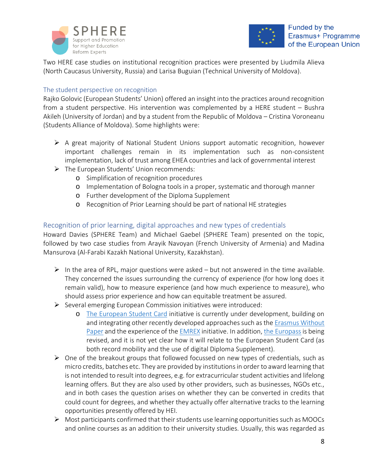



Two HERE case studies on institutional recognition practices were presented by Liudmila Alieva (North Caucasus University, Russia) and Larisa Buguian (Technical University of Moldova).

#### <span id="page-7-0"></span>The student perspective on recognition

Rajko Golovic (European Students' Union) offered an insight into the practices around recognition from a student perspective. His intervention was complemented by a HERE student – Bushra Akileh (University of Jordan) and by a student from the Republic of Moldova – Cristina Voroneanu (Students Alliance of Moldova). Some highlights were:

- $\triangleright$  A great majority of National Student Unions support automatic recognition, however important challenges remain in its implementation such as non-consistent implementation, lack of trust among EHEA countries and lack of governmental interest
- The European Students' Union recommends:
	- o Simplification of recognition procedures
	- o Implementation of Bologna tools in a proper, systematic and thorough manner
	- o Further development of the Diploma Supplement
	- o Recognition of Prior Learning should be part of national HE strategies

### <span id="page-7-1"></span>Recognition of prior learning, digital approaches and new types of credentials

Howard Davies (SPHERE Team) and Michael Gaebel (SPHERE Team) presented on the topic, followed by two case studies from Arayik Navoyan (French University of Armenia) and Madina Mansurova (Al-Farabi Kazakh National University, Kazakhstan).

- $\triangleright$  In the area of RPL, major questions were asked but not answered in the time available. They concerned the issues surrounding the currency of experience (for how long does it remain valid), how to measure experience (and how much experience to measure), who should assess prior experience and how can equitable treatment be assured.
- $\triangleright$  Several emerging European Commission initiatives were introduced:
	- o [The European Student Card](https://europeanstudentcard.eu/) initiative is currently under development, building on and integrating other recently developed approaches such as the [Erasmus Without](https://www.erasmuswithoutpaper.eu/)  [Paper](https://www.erasmuswithoutpaper.eu/) and the experience of the [EMREX](https://emrex.eu/) initiative. In addition, [the Europassi](https://europass.cedefop.europa.eu/)s being revised, and it is not yet clear how it will relate to the European Student Card (as both record mobility and the use of digital Diploma Supplement).
- $\triangleright$  One of the breakout groups that followed focussed on new types of credentials, such as micro credits, batches etc. They are provided by institutions in order to award learning that is not intended to result into degrees, e.g. for extracurricular student activities and lifelong learning offers. But they are also used by other providers, such as businesses, NGOs etc., and in both cases the question arises on whether they can be converted in credits that could count for degrees, and whether they actually offer alternative tracks to the learning opportunities presently offered by HEI.
- Most participants confirmed that their students use learning opportunities such as MOOCs and online courses as an addition to their university studies. Usually, this was regarded as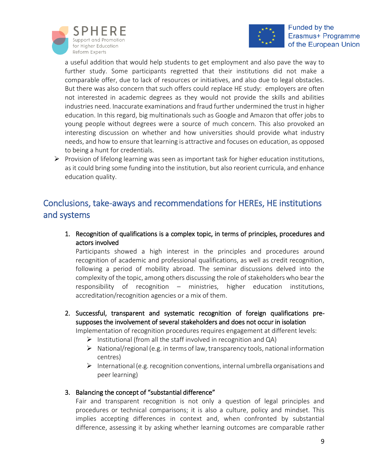



a useful addition that would help students to get employment and also pave the way to further study. Some participants regretted that their institutions did not make a comparable offer, due to lack of resources or initiatives, and also due to legal obstacles. But there was also concern that such offers could replace HE study: employers are often not interested in academic degrees as they would not provide the skills and abilities industries need. Inaccurate examinations and fraud further undermined the trust in higher education. In this regard, big multinationals such as Google and Amazon that offer jobs to young people without degrees were a source of much concern. This also provoked an interesting discussion on whether and how universities should provide what industry needs, and how to ensure that learning is attractive and focuses on education, as opposed to being a hunt for credentials.

 $\triangleright$  Provision of lifelong learning was seen as important task for higher education institutions, as it could bring some funding into the institution, but also reorient curricula, and enhance education quality.

# <span id="page-8-0"></span>Conclusions, take-aways and recommendations for HEREs, HE institutions and systems

1. Recognition of qualifications is a complex topic, in terms of principles, procedures and actors involved

Participants showed a high interest in the principles and procedures around recognition of academic and professional qualifications, as well as credit recognition, following a period of mobility abroad. The seminar discussions delved into the complexity of the topic, among others discussing the role of stakeholders who bear the responsibility of recognition – ministries, higher education institutions, accreditation/recognition agencies or a mix of them.

2. Successful, transparent and systematic recognition of foreign qualifications presupposes the involvement of several stakeholders and does not occur in isolation

Implementation of recognition procedures requires engagement at different levels:

- $\triangleright$  Institutional (from all the staff involved in recognition and QA)
- $\triangleright$  National/regional (e.g. in terms of law, transparency tools, national information centres)
- $\triangleright$  International (e.g. recognition conventions, internal umbrella organisations and peer learning)

### 3. Balancing the concept of "substantial difference"

Fair and transparent recognition is not only a question of legal principles and procedures or technical comparisons; it is also a culture, policy and mindset. This implies accepting differences in context and, when confronted by substantial difference, assessing it by asking whether learning outcomes are comparable rather